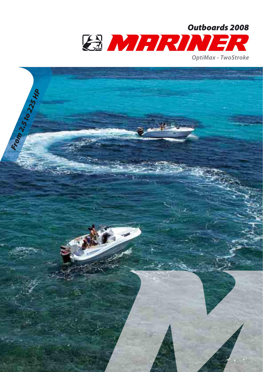

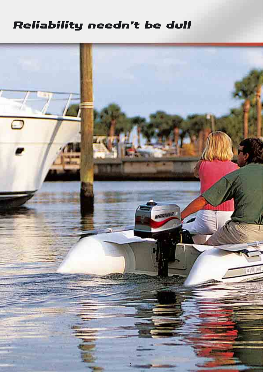## Reliability needn't be dull

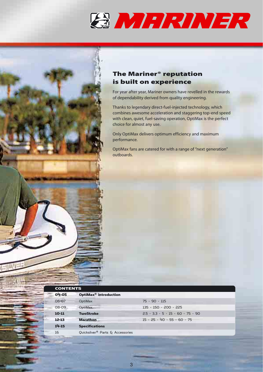



## **The Mariner® reputation is built on experience**

For year after year, Mariner owners have revelled in the rewards of dependability derived from quality engineering.

Thanks to legendary direct-fuel-injected technology, which combines awesome acceleration and staggering top-end speed with clean, quiet, fuel-saving operation, OptiMax is the perfect choice for almost any use.

Only OptiMax delivers optimum efficiency and maximum performance.

OptiMax fans are catered for with a range of "next generation" outboards.

| <b>CONTENTS</b> |                                              |                                     |  |  |  |  |
|-----------------|----------------------------------------------|-------------------------------------|--|--|--|--|
| 04-05           | OptiMax <sup>®</sup> introduction            |                                     |  |  |  |  |
| 06-07           | OptiMax                                      | $75 - 90 - 115$                     |  |  |  |  |
| 08-09           | OptiMax                                      | 135 - 150 - 200 - 225               |  |  |  |  |
| 10-11           | <b>TwoStroke</b>                             | $2.5 - 3.3 - 5 - 15 - 60 - 75 - 90$ |  |  |  |  |
| $12 - 13$       | <b>Marathon</b>                              | $15 - 25 - 40 - 55 - 60 - 75$       |  |  |  |  |
| 14-15           | <b>Specifications</b>                        |                                     |  |  |  |  |
| 16              | Quicksilver <sup>®</sup> Parts & Accessories |                                     |  |  |  |  |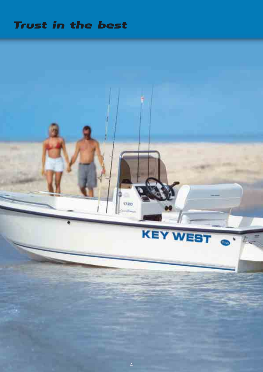## Trust in the best

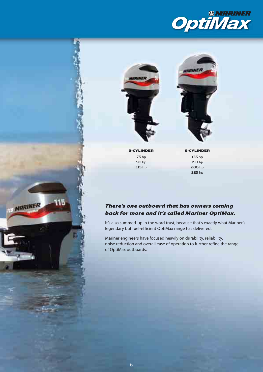





3-CYLINDER 75 hp 90 hp 115 hp

មេ

**IS MARINER** 

6-CYLINDER 135 hp

> 150 hp 200 hp 225 hp

### *There's one outboard that has owners coming back for more and it's called Mariner OptiMax.*

It's also summed-up in the word trust, because that's exactly what Mariner's legendary but fuel-efficient OptiMax range has delivered.

Mariner engineers have focused heavily on durability, reliability, noise reduction and overall ease of operation to further refine the range of OptiMax outboards.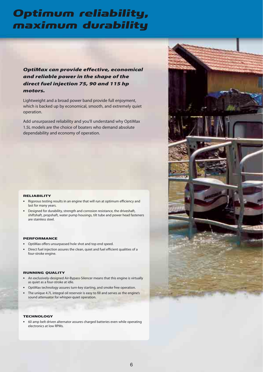## Optimum reliability, maximum durability

## *OptiMax can provide effective, economical and reliable power in the shape of the direct fuel injection 75, 90 and 115 hp motors.*

Lightweight and a broad power band provide full enjoyment, which is backed up by economical, smooth, and extremely quiet operation.

Add unsurpassed reliability and you'll understand why OptiMax 1.5L models are the choice of boaters who demand absolute dependability and economy of operation.

#### RELIABILITY

- **•** Rigorous testing results in an engine that will run at optimum efficiency and last for many years.
- **•** Designed for durability, strength and corrosion resistance, the driveshaft, shiftshaft, propshaft, water pump housings, tilt tube and power head fasteners are stainless steel.

#### PERFORMANCE

- **•** OptiMax offers unsurpassed hole shot and top end speed.
- **•** Direct fuel injection assures the clean, quiet and fuel efficient qualities of a four-stroke engine.

#### RUNNING QUALITY

- **•** An exclusively-designed Air-Bypass-Silencer means that this engine is virtually as quiet as a four-stroke at idle.
- **•** OptiMax technology assures turn-key starting, and smoke free operation.
- **•** The unique 4.7L integral oil reservoir is easy to fill and serves as the engine's sound attenuator for whisper-quiet operation.

### **TECHNOLOGY**

**•** 60 amp belt driven alternator assures charged batteries even while operating electronics at low RPMs.

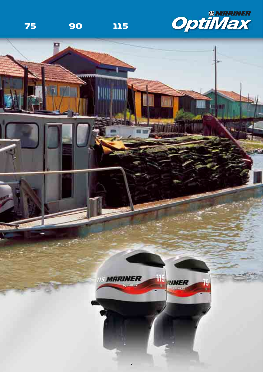

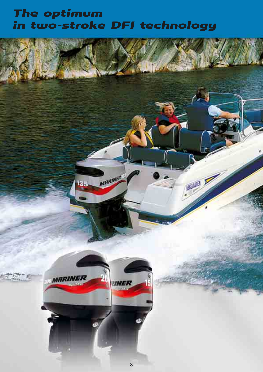## The optimum in two-stroke DFI technology

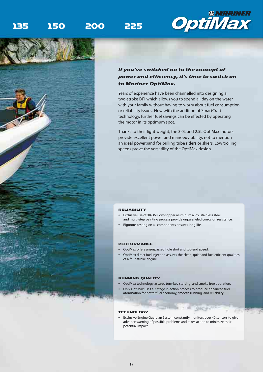## 135 150 200 225





### *If you've switched on to the concept of power and efficiency, it's time to switch on to Mariner OptiMax.*

Years of experience have been channelled into designing a two-stroke DFI which allows you to spend all day on the water with your family without having to worry about fuel consumption or reliability issues. Now with the addition of SmartCraft technology, further fuel savings can be effected by operating the motor in its optimum spot.

Thanks to their light weight, the 3.0L and 2.5L OptiMax motors provide excellent power and manoeuvrability, not to mention an ideal powerband for pulling tube riders or skiers. Low trolling speeds prove the versatility of the OptiMax design.

#### RELIABILITY

- **•** Exclusive use of XK-360 low-copper aluminum alloy, stainless steel and multi-step painting process provide unparalleled corrosion resistance.
- **•** Rigorous testing on all components ensures long life.

#### PERFORMANCE

- **•** OptiMax offers unsurpassed hole shot and top end speed.
- **•** OptiMax direct fuel injection assures the clean, quiet and fuel efficient qualities of a four-stroke engine.

#### RUNNING QUALITY

- **•** OptiMax technology assures turn-key starting, and smoke free operation.
- **•** Only OptiMax uses a 2 stage injection process to produce enhanced fuel atomisation for better fuel economy, smooth running, and reliability.

#### TECHNOLOGY

**•** Exclusive Engine Guardian System constantly monitors over 40 sensors to give advance warning of possible problems and takes action to minimize their potential impact.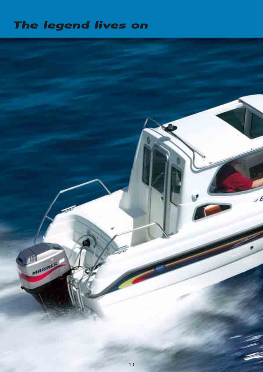# The legend lives on

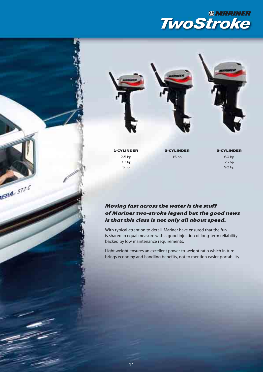## *<b>AMRRINER 4WO3TROKE*

1-CYLINDER 2.5 hp 3.3 hp 5 hp

**Ella** 572 C

2-CYLINDER 15 hp

3-CYLINDER 60 hp 75 hp

90 hp

### *Moving fast across the water is the stuff of Mariner two-stroke legend but the good news is that this class is not only all about speed.*

With typical attention to detail, Mariner have ensured that the fun is shared in equal measure with a good injection of long-term reliability backed by low maintenance requirements.

Light weight ensures an excellent power-to-weight ratio which in turn brings economy and handling benefits, not to mention easier portability.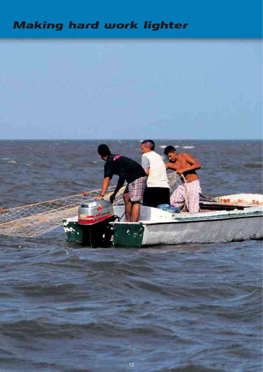# Making hard work lighter

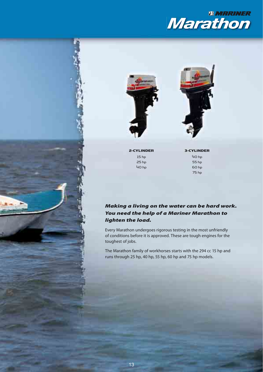





2-CYLINDER 15 hp 25 hp 40 hp

3-CYLINDER 40 hp

55 hp 60 hp 75 hp

## *Making a living on the water can be hard work. You need the help of a Mariner Marathon to lighten the load.*

Every Marathon undergoes rigorous testing in the most unfriendly of conditions before it is approved. These are tough engines for the toughest of jobs.

The Marathon family of workhorses starts with the 294 cc 15 hp and runs through 25 hp, 40 hp, 55 hp, 60 hp and 75 hp models.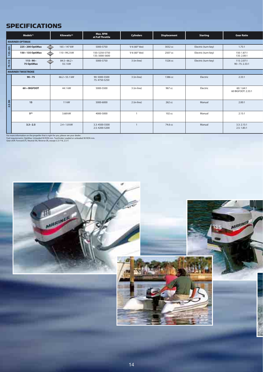## **SPECIFICATIONS**

|                          | Models <sup>(1)</sup> | Kilowatts <sup>(2)</sup>           | Max. RPM<br>at Full Throttle     | Cylinders     | <b>Displacement</b> | <b>Starting</b>     | <b>Gear Ratio</b>                    |  |  |  |
|--------------------------|-----------------------|------------------------------------|----------------------------------|---------------|---------------------|---------------------|--------------------------------------|--|--|--|
| <b>MARINER OPTIMAX</b>   |                       |                                    |                                  |               |                     |                     |                                      |  |  |  |
| 135-225                  | 225 · 200 OptiMax     | $165 \cdot 147$ kW<br>⇔            | 5000-5750                        | V-6 (60° Vee) | 3032 cc             | Electric (turn-key) | 1.75:1                               |  |  |  |
|                          | 150 · 135 OptiMax     | 110 · 99.2 kW                      | 150: 5250-5750<br>135: 5000-5600 | V-6 (60° Vee) | 2507 cc             | Electric (turn-key) | 150: 1.87:1<br>135: 2.00:1           |  |  |  |
| 75-115                   | 115.90.<br>75 OptiMax | $84.5 \cdot 66.2 \cdot$<br>55.1 kW | 5000-5750                        | 3 (in-line)   | 1526 cc             | Electric (turn-key) | 115: 2.07:1<br>$90 \cdot 75: 2.33:1$ |  |  |  |
| <b>MARINER TWOSTROKE</b> |                       |                                    |                                  |               |                     |                     |                                      |  |  |  |
|                          | 90.75                 | $66.2 \cdot 55.1$ kW               | 90:5000-5500<br>75:4750-5250     | 3 (in-line)   | 1386 cc             | Electric            | 2.33:1                               |  |  |  |
|                          | 60 + BIGFOOT          | 44.1 kW                            | 5000-5500                        | 3 (in-line)   | 967 cc              | Electric            | 60: 1.64:1<br>60 BIGFOOT: 2.33:1     |  |  |  |
| $2.5 - 90$               | 15                    | 11 kW                              | 5000-6000                        | 2 (in-line)   | 262 cc              | Manual              | 2.00:1                               |  |  |  |
|                          | $5^{(5)}$             | 3.68 kW                            | 4000-5000                        |               | 102 cc              | Manual              | 2.15:1                               |  |  |  |
|                          | $3.3 \cdot 2.5$       | $2.4 \cdot 1.8$ kW                 | 3.3:4500-5500<br>2.5:4200-5200   |               | 74.6 cc             | Manual              | 3.3:2.15:1<br>2.5:1.85:1             |  |  |  |

For more information on the propeller that is right for you, please see your dealer.<br>Fuel requirements: OptiMax: Unleaded 90 RON min. TwoStroke: Leaded or unleaded 90 RON min.<br>Gear shift: Forward (F), Neutral (N), Reverse

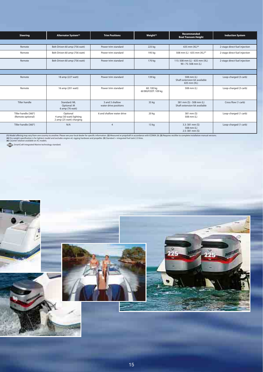| <b>Steering</b>                           | Alternator System <sup>(3)</sup>                                 | <b>Trim Positions</b>                    | Weight <sup>(4)</sup>           | Recommended<br><b>Boat Transom Height</b>                   | <b>Induction System</b>       |  |  |  |
|-------------------------------------------|------------------------------------------------------------------|------------------------------------------|---------------------------------|-------------------------------------------------------------|-------------------------------|--|--|--|
|                                           |                                                                  |                                          |                                 |                                                             |                               |  |  |  |
| Remote                                    | Belt-Driven 60 amp (756 watt)                                    | Power trim standard                      | 225 kg                          | 635 mm $(XL)^{(6)}$                                         | 2-stage direct fuel injection |  |  |  |
| Remote                                    | Belt-Driven 60 amp (756 watt)                                    | Power trim standard                      | 195 kg                          | 508 mm (L) - 635 mm (XL) <sup>(6)</sup>                     | 2-stage direct fuel injection |  |  |  |
| Remote                                    | Belt-Driven 60 amp (756 watt)                                    | Power trim standard                      | 170 kg                          | 115: 508 mm (L) - 635 mm (XL)<br>$90 \cdot 75$ : 508 mm (L) | 2-stage direct fuel injection |  |  |  |
|                                           |                                                                  |                                          |                                 |                                                             |                               |  |  |  |
| Remote                                    | 18 amp (227 watt)                                                | Power trim standard                      | 139 kg                          | 508 mm (L)<br>Shaft extension kit available<br>635 mm (XL)  | Loop-charged (3 carb)         |  |  |  |
| Remote                                    | 16 amp (201 watt)                                                | Power trim standard                      | 60:100 kg<br>60 BIGFOOT: 109 kg | 508 mm (L)                                                  | Loop-charged (3 carb)         |  |  |  |
| Tiller handle                             | Standard: ML<br>Optional: M<br>6 amp (76 watt)                   | 3 and 3 shallow<br>water drive positions | 35 kg                           | 381 mm (S) - 508 mm (L)<br>Shaft extension kit available    | Cross flow (1 carb)           |  |  |  |
| Tiller handle (360°)<br>(Remote optional) | Optional<br>4 amp (50 watt) lighting<br>2 amp (25 watt) charging | 6 and shallow water drive                | 20 kg                           | 381 mm (S)<br>508 mm (L)                                    | Loop-charged (1 carb)         |  |  |  |
| Tiller handle (360°)                      | N/A                                                              | $\overline{A}$                           | 13 kg                           | $3.3:381$ mm (S)<br>508 mm (L)<br>$2.5:381$ mm $(S)$        | Loop-charged (1 carb)         |  |  |  |

(1) Model offering may vary from one country to another. Please see your local dealer for specific information. (2) Measured at propshaft in accordance with ICOMIA 28. (3) Requires rectifier to complete installation manual

SmartCraft Integrated Marine technology standard.